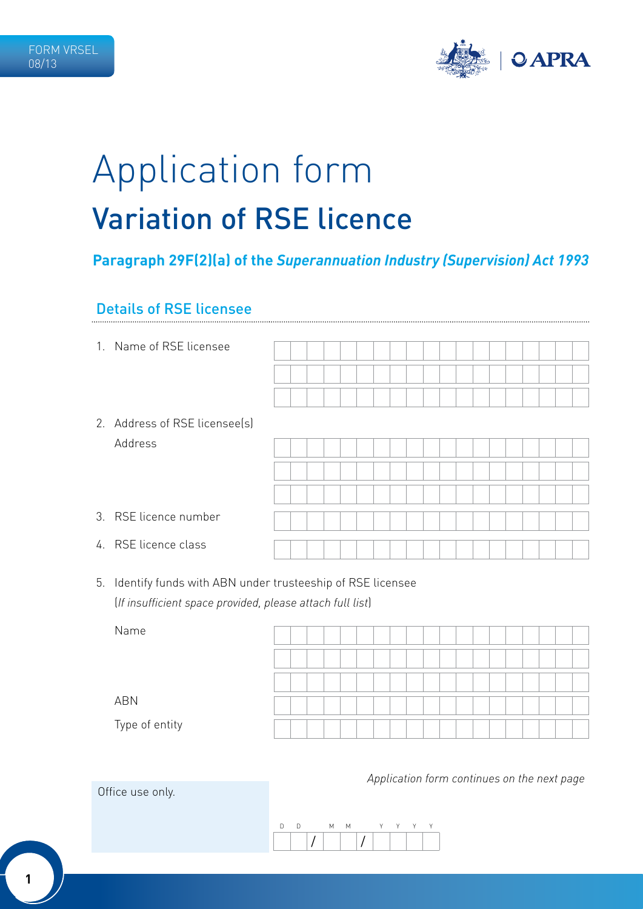

# Application form Variation of RSE licence

# **Paragraph 29F(2)(a) of the** *Superannuation Industry (Supervision) Act 1993*

### Details of RSE licensee

1. Name of RSE licensee

| 2. Address of RSE licensee(s) |
|-------------------------------|
| Address                       |

| 3. RSE licence number |  |  |  |  |  |  |  |  |  |  |
|-----------------------|--|--|--|--|--|--|--|--|--|--|
|                       |  |  |  |  |  |  |  |  |  |  |
|                       |  |  |  |  |  |  |  |  |  |  |
|                       |  |  |  |  |  |  |  |  |  |  |
|                       |  |  |  |  |  |  |  |  |  |  |
| 4. RSE licence class  |  |  |  |  |  |  |  |  |  |  |
|                       |  |  |  |  |  |  |  |  |  |  |
|                       |  |  |  |  |  |  |  |  |  |  |

5. Identify funds with ABN under trusteeship of RSE licensee (*If insufficient space provided, please attach full list*)

| Name           |  |  |  |  |  |  |  |  |  |  |
|----------------|--|--|--|--|--|--|--|--|--|--|
|                |  |  |  |  |  |  |  |  |  |  |
|                |  |  |  |  |  |  |  |  |  |  |
| ABN            |  |  |  |  |  |  |  |  |  |  |
| Type of entity |  |  |  |  |  |  |  |  |  |  |

*Application form continues on the next page*



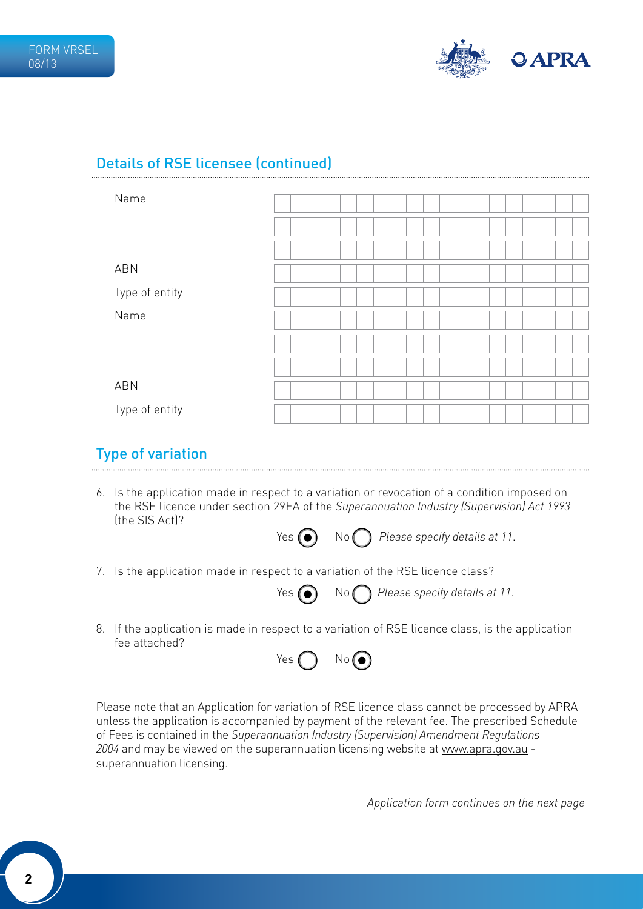

# Details of RSE licensee (continued)

| Name           |  |  |  |  |  |  |  |  |  |  |
|----------------|--|--|--|--|--|--|--|--|--|--|
|                |  |  |  |  |  |  |  |  |  |  |
|                |  |  |  |  |  |  |  |  |  |  |
|                |  |  |  |  |  |  |  |  |  |  |
|                |  |  |  |  |  |  |  |  |  |  |
| <b>ABN</b>     |  |  |  |  |  |  |  |  |  |  |
|                |  |  |  |  |  |  |  |  |  |  |
|                |  |  |  |  |  |  |  |  |  |  |
| Type of entity |  |  |  |  |  |  |  |  |  |  |
| Name           |  |  |  |  |  |  |  |  |  |  |
|                |  |  |  |  |  |  |  |  |  |  |
|                |  |  |  |  |  |  |  |  |  |  |
|                |  |  |  |  |  |  |  |  |  |  |
|                |  |  |  |  |  |  |  |  |  |  |
|                |  |  |  |  |  |  |  |  |  |  |
|                |  |  |  |  |  |  |  |  |  |  |
| <b>ABN</b>     |  |  |  |  |  |  |  |  |  |  |
|                |  |  |  |  |  |  |  |  |  |  |
| Type of entity |  |  |  |  |  |  |  |  |  |  |

## Type of variation

6. Is the application made in respect to a variation or revocation of a condition imposed on the RSE licence under section 29EA of the *Superannuation Industry (Supervision) Act 1993* (the SIS Act)?



7. Is the application made in respect to a variation of the RSE licence class?



Yes  $\bigodot$  No  $\bigodot$  Please specify details at 11.

8. If the application is made in respect to a variation of RSE licence class, is the application fee attached?



Please note that an Application for variation of RSE licence class cannot be processed by APRA unless the application is accompanied by payment of the relevant fee. The prescribed Schedule of Fees is contained in the *Superannuation Industry (Supervision) Amendment Regulations 2004* and may be viewed on the superannuation licensing website at www.apra.gov.au superannuation licensing.

*Application form continues on the next page*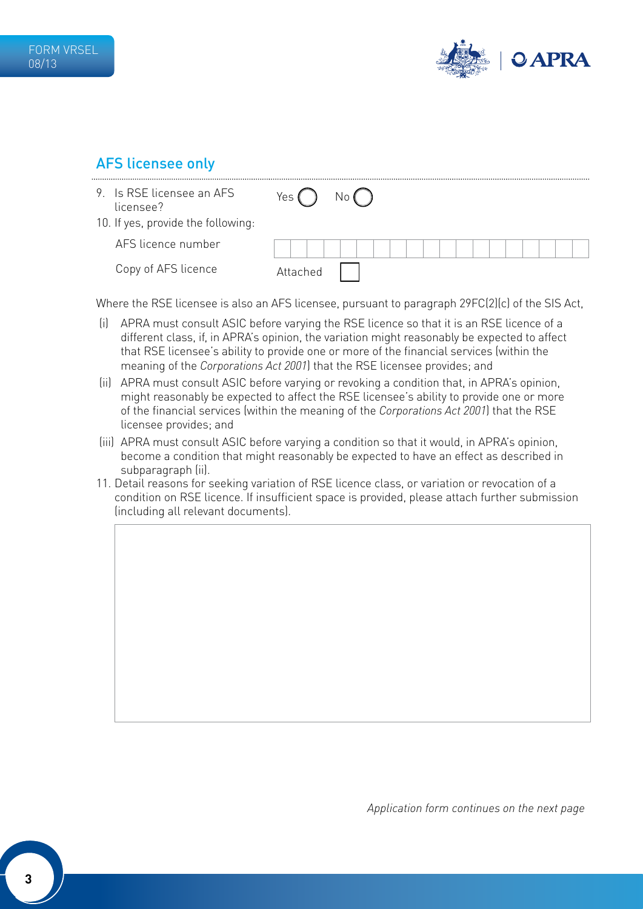

# AFS licensee only

| 9. Is RSE licensee an AFS<br>licensee? | Yes ″    | No ( |
|----------------------------------------|----------|------|
| 10. If yes, provide the following:     |          |      |
| AFS licence number                     |          |      |
| Copy of AFS licence                    | Attached |      |

Where the RSE licensee is also an AFS licensee, pursuant to paragraph 29FC(2)(c) of the SIS Act,

- (i) APRA must consult ASIC before varying the RSE licence so that it is an RSE licence of a different class, if, in APRA's opinion, the variation might reasonably be expected to affect that RSE licensee's ability to provide one or more of the financial services (within the meaning of the *Corporations Act 2001*) that the RSE licensee provides; and
- (ii) APRA must consult ASIC before varying or revoking a condition that, in APRA's opinion, might reasonably be expected to affect the RSE licensee's ability to provide one or more of the financial services (within the meaning of the *Corporations Act 2001*) that the RSE licensee provides; and
- (iii) APRA must consult ASIC before varying a condition so that it would, in APRA's opinion, become a condition that might reasonably be expected to have an effect as described in subparagraph (ii).
- 11. Detail reasons for seeking variation of RSE licence class, or variation or revocation of a condition on RSE licence. If insufficient space is provided, please attach further submission (including all relevant documents).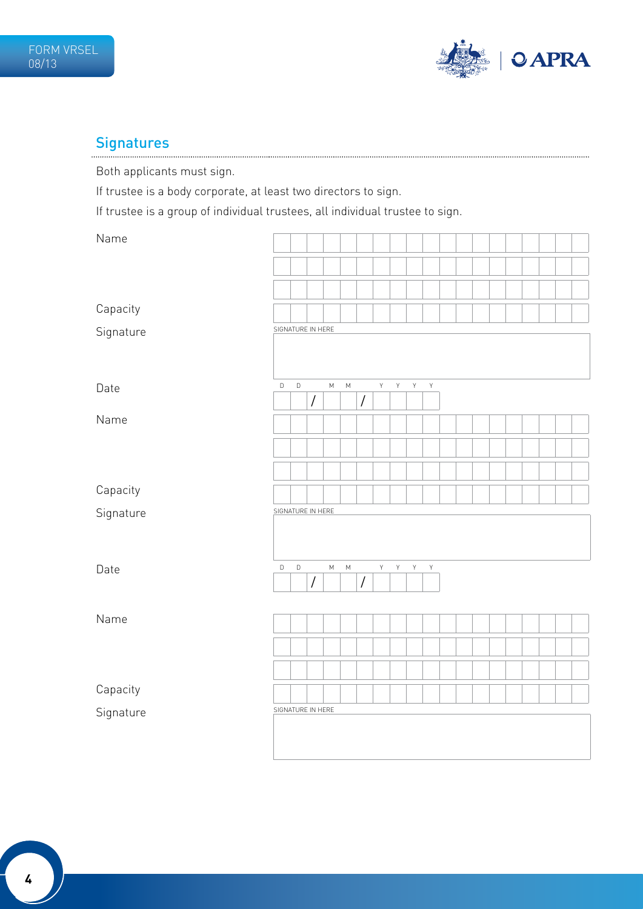

# Signatures

Both applicants must sign.

If trustee is a body corporate, at least two directors to sign.

If trustee is a group of individual trustees, all individual trustee to sign.

| Name      |                   |             |                      |                                                                                                            |           |                |             |                    |                    |             |  |  |  |  |  |
|-----------|-------------------|-------------|----------------------|------------------------------------------------------------------------------------------------------------|-----------|----------------|-------------|--------------------|--------------------|-------------|--|--|--|--|--|
|           |                   |             |                      |                                                                                                            |           |                |             |                    |                    |             |  |  |  |  |  |
|           |                   |             |                      |                                                                                                            |           |                |             |                    |                    |             |  |  |  |  |  |
| Capacity  |                   |             |                      |                                                                                                            |           |                |             |                    |                    |             |  |  |  |  |  |
|           | SIGNATURE IN HERE |             |                      |                                                                                                            |           |                |             |                    |                    |             |  |  |  |  |  |
| Signature |                   |             |                      |                                                                                                            |           |                |             |                    |                    |             |  |  |  |  |  |
| Date      | $\mathsf D$       | $\mathbb D$ |                      | М                                                                                                          | ${\sf M}$ |                | Y           | $\bar{\mathsf{Y}}$ | $\bar{\mathsf{Y}}$ | $\mathsf Y$ |  |  |  |  |  |
| Name      |                   |             | $\sqrt{\phantom{a}}$ |                                                                                                            |           | $\overline{1}$ |             |                    |                    |             |  |  |  |  |  |
|           |                   |             |                      |                                                                                                            |           |                |             |                    |                    |             |  |  |  |  |  |
|           |                   |             |                      |                                                                                                            |           |                |             |                    |                    |             |  |  |  |  |  |
|           |                   |             |                      |                                                                                                            |           |                |             |                    |                    |             |  |  |  |  |  |
| Capacity  |                   |             |                      |                                                                                                            |           |                |             |                    |                    |             |  |  |  |  |  |
| Signature | SIGNATURE IN HERE |             |                      |                                                                                                            |           |                |             |                    |                    |             |  |  |  |  |  |
|           |                   |             |                      |                                                                                                            |           |                |             |                    |                    |             |  |  |  |  |  |
| Date      | $\mathsf D$       | $\mathsf D$ |                      | $\mathsf{M}% _{T}=\mathsf{M}_{T}\!\left( a,b\right) ,\ \mathsf{M}_{T}=\mathsf{M}_{T}\!\left( a,b\right) ,$ | ${\sf M}$ |                | $\mathsf Y$ | Y                  | $\mathsf Y$        | $\mathsf Y$ |  |  |  |  |  |
|           |                   |             | $\overline{I}$       |                                                                                                            |           | $\overline{1}$ |             |                    |                    |             |  |  |  |  |  |
| Name      |                   |             |                      |                                                                                                            |           |                |             |                    |                    |             |  |  |  |  |  |
|           |                   |             |                      |                                                                                                            |           |                |             |                    |                    |             |  |  |  |  |  |
|           |                   |             |                      |                                                                                                            |           |                |             |                    |                    |             |  |  |  |  |  |
|           |                   |             |                      |                                                                                                            |           |                |             |                    |                    |             |  |  |  |  |  |
| Capacity  |                   |             |                      |                                                                                                            |           |                |             |                    |                    |             |  |  |  |  |  |
| Signature | SIGNATURE IN HERE |             |                      |                                                                                                            |           |                |             |                    |                    |             |  |  |  |  |  |
|           |                   |             |                      |                                                                                                            |           |                |             |                    |                    |             |  |  |  |  |  |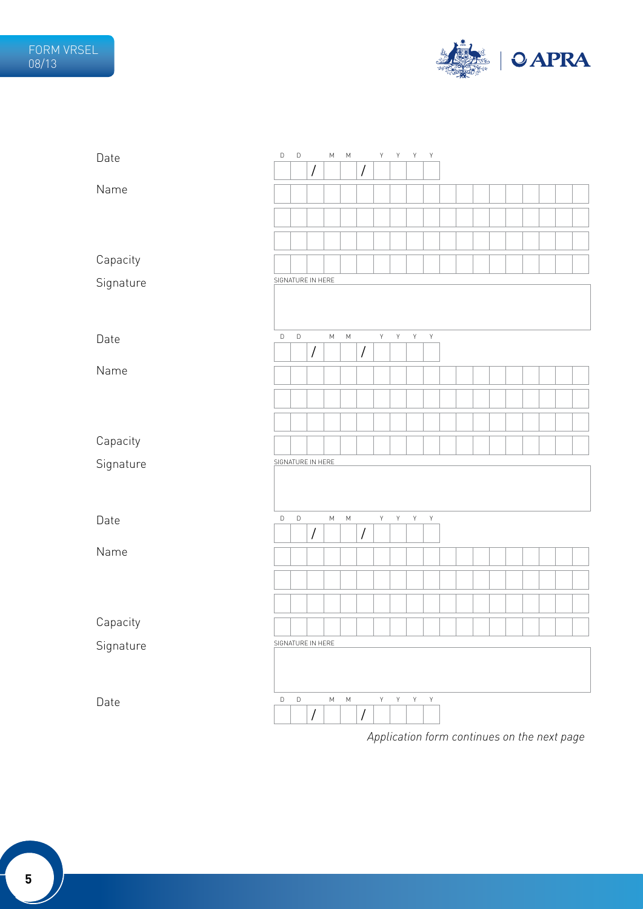

| Date      | D | $\mathsf D$ |                      | М         | М         |                | Y           | Y            | Y              | Y            |  |  |  |  |  |
|-----------|---|-------------|----------------------|-----------|-----------|----------------|-------------|--------------|----------------|--------------|--|--|--|--|--|
|           |   |             | $\sqrt{\phantom{a}}$ |           |           | /              |             |              |                |              |  |  |  |  |  |
| Name      |   |             |                      |           |           |                |             |              |                |              |  |  |  |  |  |
|           |   |             |                      |           |           |                |             |              |                |              |  |  |  |  |  |
|           |   |             |                      |           |           |                |             |              |                |              |  |  |  |  |  |
|           |   |             |                      |           |           |                |             |              |                |              |  |  |  |  |  |
| Capacity  |   |             |                      |           |           |                |             |              |                |              |  |  |  |  |  |
| Signature |   |             | SIGNATURE IN HERE    |           |           |                |             |              |                |              |  |  |  |  |  |
|           |   |             |                      |           |           |                |             |              |                |              |  |  |  |  |  |
|           |   |             |                      |           |           |                |             |              |                |              |  |  |  |  |  |
| Date      | D | $\mathsf D$ |                      | ${\sf M}$ | ${\sf M}$ |                | Y           | $\mathsf{Y}$ | $\mathsf{Y}^-$ | $\mathsf Y$  |  |  |  |  |  |
|           |   |             | $\sqrt{\phantom{a}}$ |           |           | $\overline{1}$ |             |              |                |              |  |  |  |  |  |
| Name      |   |             |                      |           |           |                |             |              |                |              |  |  |  |  |  |
|           |   |             |                      |           |           |                |             |              |                |              |  |  |  |  |  |
|           |   |             |                      |           |           |                |             |              |                |              |  |  |  |  |  |
|           |   |             |                      |           |           |                |             |              |                |              |  |  |  |  |  |
| Capacity  |   |             |                      |           |           |                |             |              |                |              |  |  |  |  |  |
| Signature |   |             | SIGNATURE IN HERE    |           |           |                |             |              |                |              |  |  |  |  |  |
|           |   |             |                      |           |           |                |             |              |                |              |  |  |  |  |  |
|           |   |             |                      |           |           |                |             |              |                |              |  |  |  |  |  |
| Date      | D | $\mathsf D$ |                      | ${\sf M}$ | ${\sf M}$ |                | Y           | Y            | $\mathsf{Y}$   | $\mathsf{Y}$ |  |  |  |  |  |
|           |   |             | $\overline{I}$       |           |           | $\overline{1}$ |             |              |                |              |  |  |  |  |  |
| Name      |   |             |                      |           |           |                |             |              |                |              |  |  |  |  |  |
|           |   |             |                      |           |           |                |             |              |                |              |  |  |  |  |  |
|           |   |             |                      |           |           |                |             |              |                |              |  |  |  |  |  |
|           |   |             |                      |           |           |                |             |              |                |              |  |  |  |  |  |
| Capacity  |   |             |                      |           |           |                |             |              |                |              |  |  |  |  |  |
| Signature |   |             | SIGNATURE IN HERE    |           |           |                |             |              |                |              |  |  |  |  |  |
|           |   |             |                      |           |           |                |             |              |                |              |  |  |  |  |  |
|           |   |             |                      |           |           |                |             |              |                |              |  |  |  |  |  |
| Date      | D | $\mathsf D$ |                      | ${\sf M}$ | ${\sf M}$ |                | $\mathsf Y$ | Y            | Υ              | $\mathsf Y$  |  |  |  |  |  |
|           |   |             | $\bigg)$             |           |           | $\overline{1}$ |             |              |                |              |  |  |  |  |  |
|           |   |             |                      |           |           |                |             |              |                |              |  |  |  |  |  |

*Application form continues on the next page*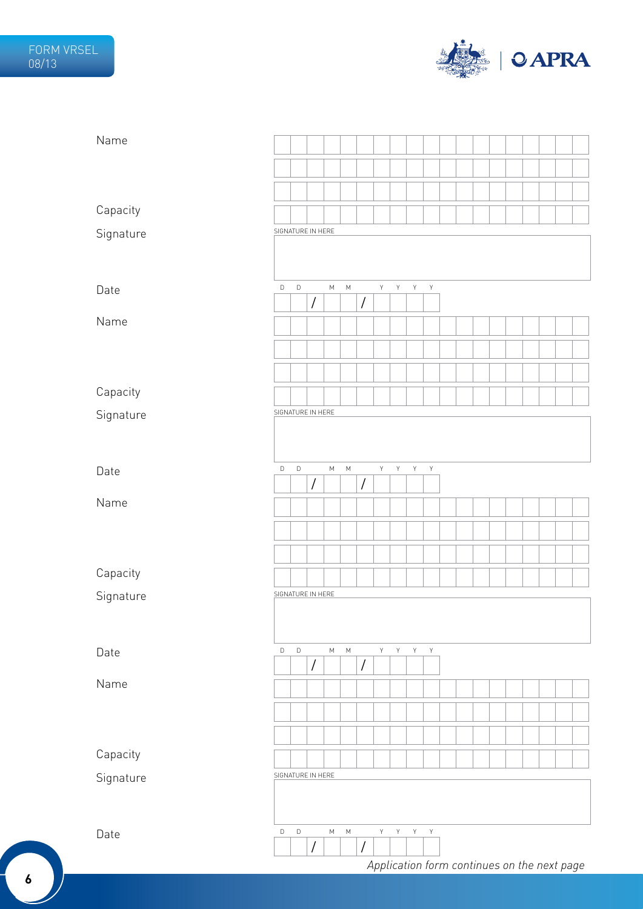

| Name      |                   |             |                      |           |           |                      |             |                |                         |             |  |  |  |                                             |  |
|-----------|-------------------|-------------|----------------------|-----------|-----------|----------------------|-------------|----------------|-------------------------|-------------|--|--|--|---------------------------------------------|--|
|           |                   |             |                      |           |           |                      |             |                |                         |             |  |  |  |                                             |  |
|           |                   |             |                      |           |           |                      |             |                |                         |             |  |  |  |                                             |  |
| Capacity  |                   |             |                      |           |           |                      |             |                |                         |             |  |  |  |                                             |  |
| Signature | SIGNATURE IN HERE |             |                      |           |           |                      |             |                |                         |             |  |  |  |                                             |  |
|           |                   |             |                      |           |           |                      |             |                |                         |             |  |  |  |                                             |  |
|           | $\mathsf D$       | $\mathsf D$ |                      |           |           |                      | Y           |                | $\mathsf{Y}$            |             |  |  |  |                                             |  |
| Date      |                   |             | $\sqrt{2}$           | ${\sf M}$ | ${\sf M}$ | $\overline{1}$       |             | Y              |                         | $\mathsf Y$ |  |  |  |                                             |  |
| Name      |                   |             |                      |           |           |                      |             |                |                         |             |  |  |  |                                             |  |
|           |                   |             |                      |           |           |                      |             |                |                         |             |  |  |  |                                             |  |
|           |                   |             |                      |           |           |                      |             |                |                         |             |  |  |  |                                             |  |
| Capacity  |                   |             |                      |           |           |                      |             |                |                         |             |  |  |  |                                             |  |
| Signature | SIGNATURE IN HERE |             |                      |           |           |                      |             |                |                         |             |  |  |  |                                             |  |
|           |                   |             |                      |           |           |                      |             |                |                         |             |  |  |  |                                             |  |
|           |                   |             |                      |           |           |                      |             |                |                         |             |  |  |  |                                             |  |
| Date      | $\mathsf D$       | $\mathsf D$ | $\sqrt{2}$           | ${\sf M}$ | ${\sf M}$ | /                    | $\mathsf Y$ | Y              | $\mathsf Y$             | Y           |  |  |  |                                             |  |
| Name      |                   |             |                      |           |           |                      |             |                |                         |             |  |  |  |                                             |  |
|           |                   |             |                      |           |           |                      |             |                |                         |             |  |  |  |                                             |  |
|           |                   |             |                      |           |           |                      |             |                |                         |             |  |  |  |                                             |  |
| Capacity  |                   |             |                      |           |           |                      |             |                |                         |             |  |  |  |                                             |  |
| Signature | SIGNATURE IN HERE |             |                      |           |           |                      |             |                |                         |             |  |  |  |                                             |  |
|           |                   |             |                      |           |           |                      |             |                |                         |             |  |  |  |                                             |  |
|           |                   |             |                      |           |           |                      |             |                |                         |             |  |  |  |                                             |  |
| Date      | $\mathsf D$       | $\mathsf D$ | $\sqrt{\phantom{a}}$ | ${\sf M}$ | ${\sf M}$ | $\sqrt{\phantom{a}}$ | Y           | $\mathsf{Y}^-$ | Y                       | Y           |  |  |  |                                             |  |
| Name      |                   |             |                      |           |           |                      |             |                |                         |             |  |  |  |                                             |  |
|           |                   |             |                      |           |           |                      |             |                |                         |             |  |  |  |                                             |  |
|           |                   |             |                      |           |           |                      |             |                |                         |             |  |  |  |                                             |  |
|           |                   |             |                      |           |           |                      |             |                |                         |             |  |  |  |                                             |  |
| Capacity  |                   |             |                      |           |           |                      |             |                |                         |             |  |  |  |                                             |  |
| Signature | SIGNATURE IN HERE |             |                      |           |           |                      |             |                |                         |             |  |  |  |                                             |  |
|           |                   |             |                      |           |           |                      |             |                |                         |             |  |  |  |                                             |  |
| Date      | $\mathsf D$       | $\mathsf D$ |                      | ${\sf M}$ | ${\sf M}$ |                      | Y.          | Y.             | $\mathsf{Y}=\mathsf{Y}$ |             |  |  |  |                                             |  |
|           |                   |             | $\sqrt{\phantom{a}}$ |           |           | $\sqrt{\phantom{a}}$ |             |                |                         |             |  |  |  |                                             |  |
|           |                   |             |                      |           |           |                      |             |                |                         |             |  |  |  | Application form continues on the next page |  |